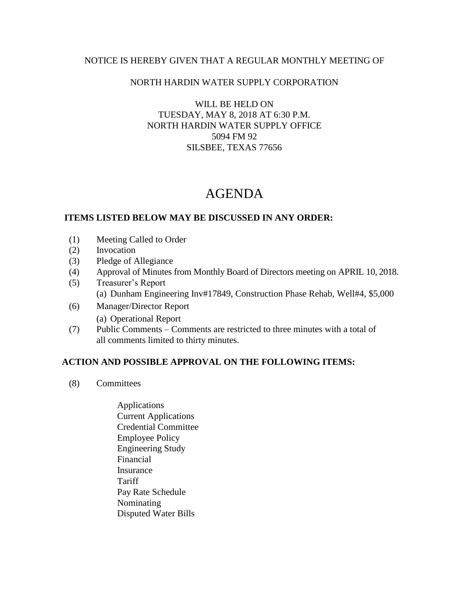### NOTICE IS HEREBY GIVEN THAT A REGULAR MONTHLY MEETING OF

## NORTH HARDIN WATER SUPPLY CORPORATION

WILL BE HELD ON TUESDAY, MAY 8, 2018 AT 6:30 P.M. NORTH HARDIN WATER SUPPLY OFFICE 5094 FM 92 SILSBEE, TEXAS 77656

# AGENDA

### **ITEMS LISTED BELOW MAY BE DISCUSSED IN ANY ORDER:**

- (1) Meeting Called to Order
- (2) Invocation
- (3) Pledge of Allegiance
- (4) Approval of Minutes from Monthly Board of Directors meeting on APRIL 10, 2018.
- (5) Treasurer's Report (a) Dunham Engineering Inv#17849, Construction Phase Rehab, Well#4, \$5,000
- (6) Manager/Director Report (a) Operational Report
- (7) Public Comments Comments are restricted to three minutes with a total of all comments limited to thirty minutes.

### **ACTION AND POSSIBLE APPROVAL ON THE FOLLOWING ITEMS:**

- (8) Committees
	- Applications Current Applications Credential Committee Employee Policy Engineering Study Financial Insurance **Tariff**  Pay Rate Schedule Nominating Disputed Water Bills